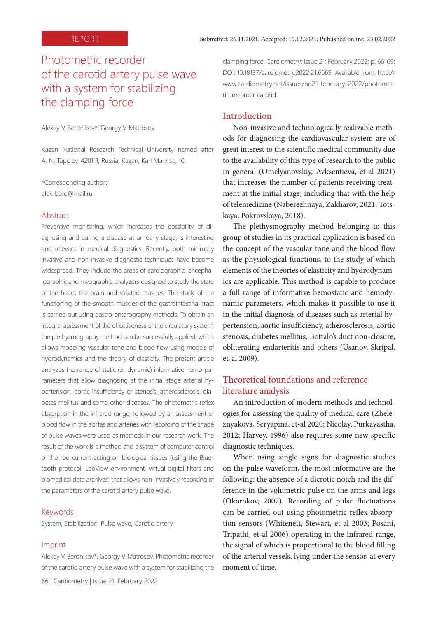# Photometric recorder of the carotid artery pulse wave with a system for stabilizing the clamping force

Alexey V. Berdnikov\*, Georgy V. Matrosov

Kazan National Research Technical University named after A. N. Tupolev, 420111, Russia, Kazan, Karl Marx st., 10.

\*Corresponding author: alex-berd@mail.ru

#### Abstract

Preventive monitoring, which increases the possibility of diagnosing and curing a disease at an early stage, is interesting and relevant in medical diagnostics. Recently, both minimally invasive and non-invasive diagnostic techniques have become widespread. They include the areas of cardiographic, encephalographic and myographic analyzers designed to study the state of the heart, the brain and striated muscles. The study of the functioning of the smooth muscles of the gastrointestinal tract is carried out using gastro-enterography methods. To obtain an integral assessment of the effectiveness of the circulatory system, the plethysmography method can be successfully applied, which allows modeling vascular tone and blood flow using models of hydrodynamics and the theory of elasticity. The present article analyzes the range of static (or dynamic) informative hemo-parameters that allow diagnosing at the initial stage arterial hypertension, aortic insufficiency or stenosis, atherosclerosis, diabetes mellitus and some other diseases. The photometric reflex absorption in the infrared range, followed by an assessment of blood flow in the aortas and arteries with recording of the shape of pulse waves were used as methods in our research work. The result of the work is a method and a system of computer control of the rod current acting on biological tissues (using the Bluetooth protocol, LabView environment, virtual digital filters and biomedical data archives) that allows non-invasively recording of the parameters of the carotid artery pulse wave.

#### Keywords

System, Stabilization, Pulse wave, Carotid artery

#### Imprint

Alexey V. Berdnikov\*, Georgy V. Matrosov. Photometric recorder of the carotid artery pulse wave with a system for stabilizing the

66 | Cardiometry | Issue 21. February 2022

clamping force. Cardiometry; Issue 21; February 2022; p. 66-69; DOI: 10.18137/cardiometry.2022.21.6669; Available from: http:// www.cardiometry.net/issues/no21-february-2022/photometric-recorder-carotid

### Introduction

Non-invasive and technologically realizable methods for diagnosing the cardiovascular system are of great interest to the scientific medical community due to the availability of this type of research to the public in general (Omelyanovskiy, Avksentieva, et-al 2021) that increases the number of patients receiving treatment at the initial stage; including that with the help of telemedicine (Naberezhnaya, Zakharov, 2021; Totskaya, Pokrovskaya, 2018).

The plethysmography method belonging to this group of studies in its practical application is based on the concept of the vascular tone and the blood flow as the physiological functions, to the study of which elements of the theories of elasticity and hydrodynamics are applicable. This method is capable to produce a full range of informative hemostatic and hemodynamic parameters, which makes it possible to use it in the initial diagnosis of diseases such as arterial hypertension, aortic insufficiency, atherosclerosis, aortic stenosis, diabetes mellitus, Bottalo's duct non-closure, obliterating endarteritis and others (Usanov, Skripal, et-al 2009).

## Theoretical foundations and reference literature analysis

An introduction of modern methods and technologies for assessing the quality of medical care (Zheleznyakova, Seryapina, et-al 2020; Nicolay, Purkayastha, 2012; Harvey, 1996) also requires some new specific diagnostic techniques.

When using single signs for diagnostic studies on the pulse waveform, the most informative are the following: the absence of a dicrotic notch and the difference in the volumetric pulse on the arms and legs (Okorokov, 2007). Recording of pulse fluctuations can be carried out using photometric reflex-absorption sensors (Whitenett, Stewart, et-al 2003; Posani, Tripathi, et-al 2006) operating in the infrared range, the signal of which is proportional to the blood filling of the arterial vessels, lying under the sensor, at every moment of time.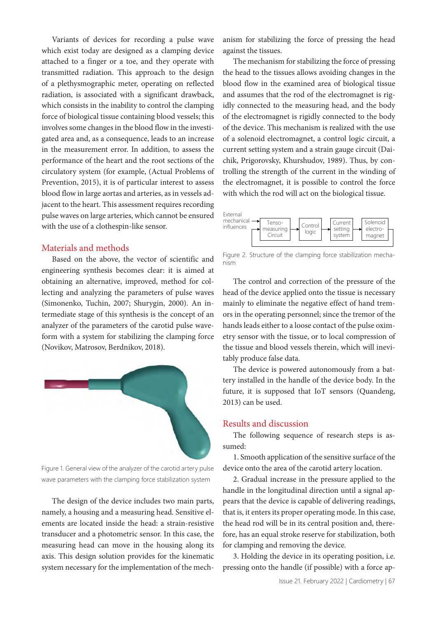Variants of devices for recording a pulse wave which exist today are designed as a clamping device attached to a finger or a toe, and they operate with transmitted radiation. This approach to the design of a plethysmographic meter, operating on reflected radiation, is associated with a significant drawback, which consists in the inability to control the clamping force of biological tissue containing blood vessels; this involves some changes in the blood flow in the investigated area and, as a consequence, leads to an increase in the measurement error. In addition, to assess the performance of the heart and the root sections of the circulatory system (for example, (Actual Problems of Prevention, 2015), it is of particular interest to assess blood flow in large aortas and arteries, as in vessels adjacent to the heart. This assessment requires recording pulse waves on large arteries, which cannot be ensured with the use of a clothespin-like sensor.

## Materials and methods

Based on the above, the vector of scientific and engineering synthesis becomes clear: it is aimed at obtaining an alternative, improved, method for collecting and analyzing the parameters of pulse waves (Simonenko, Tuchin, 2007; Shurygin, 2000). An intermediate stage of this synthesis is the concept of an analyzer of the parameters of the carotid pulse waveform with a system for stabilizing the clamping force (Novikov, Matrosov, Berdnikov, 2018).



Figure 1. General view of the analyzer of the carotid artery pulse wave parameters with the clamping force stabilization system

The design of the device includes two main parts, namely, a housing and a measuring head. Sensitive elements are located inside the head: a strain-resistive transducer and a photometric sensor. In this case, the measuring head can move in the housing along its axis. This design solution provides for the kinematic system necessary for the implementation of the mechanism for stabilizing the force of pressing the head against the tissues.

The mechanism for stabilizing the force of pressing the head to the tissues allows avoiding changes in the blood flow in the examined area of biological tissue and assumes that the rod of the electromagnet is rigidly connected to the measuring head, and the body of the electromagnet is rigidly connected to the body of the device. This mechanism is realized with the use of a solenoid electromagnet, a control logic circuit, a current setting system and a strain gauge circuit (Daichik, Prigorovsky, Khurshudov, 1989). Thus, by controlling the strength of the current in the winding of the electromagnet, it is possible to control the force with which the rod will act on the biological tissue.



Figure 2. Structure of the clamping force stabilization mechanism

The control and correction of the pressure of the head of the device applied onto the tissue is necessary mainly to eliminate the negative effect of hand tremors in the operating personnel; since the tremor of the hands leads either to a loose contact of the pulse oximetry sensor with the tissue, or to local compression of the tissue and blood vessels therein, which will inevitably produce false data.

The device is powered autonomously from a battery installed in the handle of the device body. In the future, it is supposed that IoT sensors (Quandeng, 2013) can be used.

### Results and discussion

The following sequence of research steps is assumed:

1. Smooth application of the sensitive surface of the device onto the area of the carotid artery location.

2. Gradual increase in the pressure applied to the handle in the longitudinal direction until a signal appears that the device is capable of delivering readings, that is, it enters its proper operating mode. In this case, the head rod will be in its central position and, therefore, has an equal stroke reserve for stabilization, both for clamping and removing the device.

3. Holding the device in its operating position, i.e. pressing onto the handle (if possible) with a force ap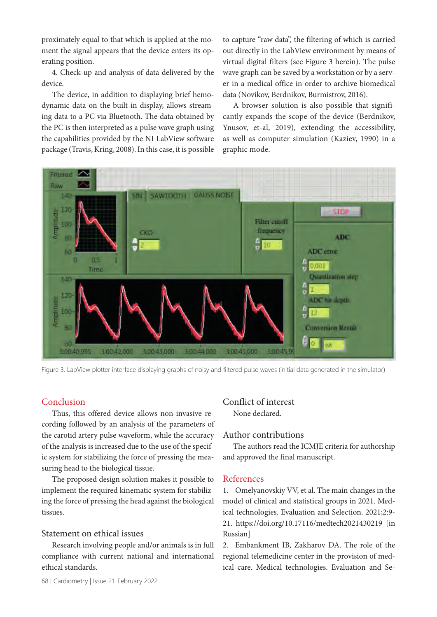proximately equal to that which is applied at the moment the signal appears that the device enters its operating position.

4. Check-up and analysis of data delivered by the device.

The device, in addition to displaying brief hemodynamic data on the built-in display, allows streaming data to a PC via Bluetooth. The data obtained by the PC is then interpreted as a pulse wave graph using the capabilities provided by the NI LabView software package (Travis, Kring, 2008). In this case, it is possible to capture "raw data", the filtering of which is carried out directly in the LabView environment by means of virtual digital filters (see Figure 3 herein). The pulse wave graph can be saved by a workstation or by a server in a medical office in order to archive biomedical data (Novikov, Berdnikov, Burmistrov, 2016).

A browser solution is also possible that significantly expands the scope of the device (Berdnikov, Ynusov, et-al, 2019), extending the accessibility, as well as computer simulation (Kaziev, 1990) in a graphic mode.



Figure 3. LabView plotter interface displaying graphs of noisy and filtered pulse waves (initial data generated in the simulator)

## Conclusion

Thus, this offered device allows non-invasive recording followed by an analysis of the parameters of the carotid artery pulse waveform, while the accuracy of the analysis is increased due to the use of the specific system for stabilizing the force of pressing the measuring head to the biological tissue.

The proposed design solution makes it possible to implement the required kinematic system for stabilizing the force of pressing the head against the biological tissues.

## Statement on ethical issues

Research involving people and/or animals is in full compliance with current national and international ethical standards.

## Conflict of interest None declared.

## Author contributions

The authors read the ICMJE criteria for authorship and approved the final manuscript.

#### References

1. Omelyanovskiy VV, et al. The main changes in the model of clinical and statistical groups in 2021. Medical technologies. Evaluation and Selection. 2021;2:9- 21. https://doi.org/10.17116/medtech2021430219 [in Russian]

2. Embankment IB, Zakharov DA. The role of the regional telemedicine center in the provision of medical care. Medical technologies. Evaluation and Se